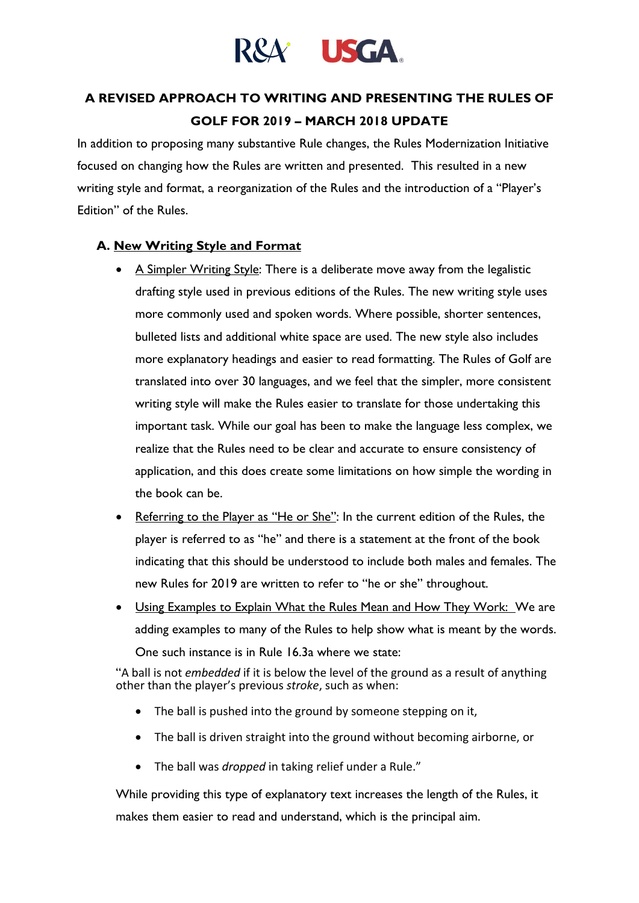

# **A REVISED APPROACH TO WRITING AND PRESENTING THE RULES OF GOLF FOR 2019 – MARCH 2018 UPDATE**

In addition to proposing many substantive Rule changes, the Rules Modernization Initiative focused on changing how the Rules are written and presented. This resulted in a new writing style and format, a reorganization of the Rules and the introduction of a "Player's Edition" of the Rules.

#### **A. New Writing Style and Format**

- A Simpler Writing Style: There is a deliberate move away from the legalistic drafting style used in previous editions of the Rules. The new writing style uses more commonly used and spoken words. Where possible, shorter sentences, bulleted lists and additional white space are used. The new style also includes more explanatory headings and easier to read formatting. The Rules of Golf are translated into over 30 languages, and we feel that the simpler, more consistent writing style will make the Rules easier to translate for those undertaking this important task. While our goal has been to make the language less complex, we realize that the Rules need to be clear and accurate to ensure consistency of application, and this does create some limitations on how simple the wording in the book can be.
- Referring to the Player as "He or She": In the current edition of the Rules, the player is referred to as "he" and there is a statement at the front of the book indicating that this should be understood to include both males and females. The new Rules for 2019 are written to refer to "he or she" throughout.
- Using Examples to Explain What the Rules Mean and How They Work: We are adding examples to many of the Rules to help show what is meant by the words. One such instance is in Rule 16.3a where we state:

"A ball is not *embedded* if it is below the level of the ground as a result of anything other than the player's previous *stroke*, such as when:

- The ball is pushed into the ground by someone stepping on it,
- The ball is driven straight into the ground without becoming airborne, or
- The ball was *dropped* in taking relief under a Rule."

While providing this type of explanatory text increases the length of the Rules, it makes them easier to read and understand, which is the principal aim.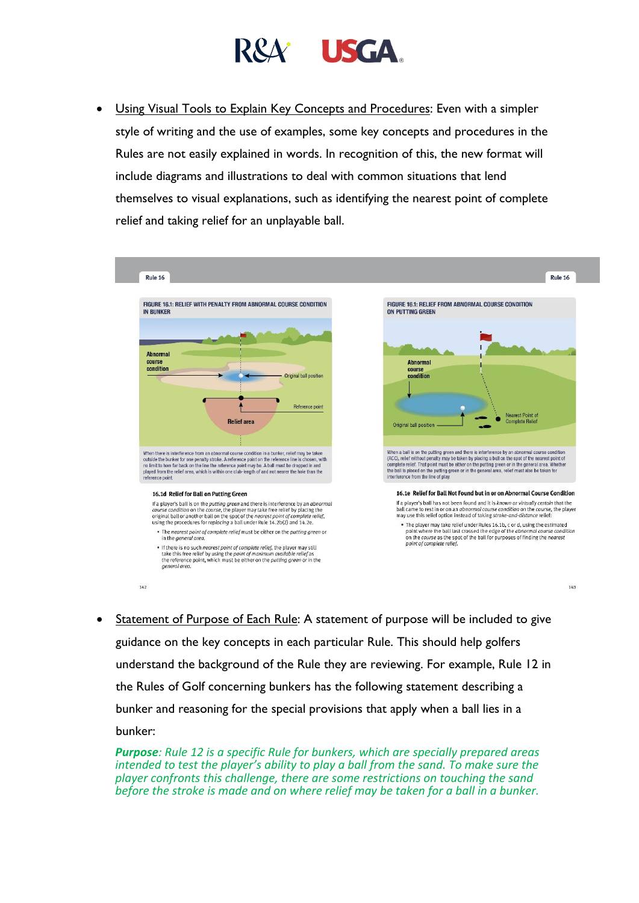

• Using Visual Tools to Explain Key Concepts and Procedures: Even with a simpler style of writing and the use of examples, some key concepts and procedures in the Rules are not easily explained in words. In recognition of this, the new format will include diagrams and illustrations to deal with common situations that lend themselves to visual explanations, such as identifying the nearest point of complete relief and taking relief for an unplayable ball.



• Statement of Purpose of Each Rule: A statement of purpose will be included to give guidance on the key concepts in each particular Rule. This should help golfers understand the background of the Rule they are reviewing. For example, Rule 12 in the Rules of Golf concerning bunkers has the following statement describing a bunker and reasoning for the special provisions that apply when a ball lies in a bunker:

*Purpose: Rule 12 is a specific Rule for bunkers, which are specially prepared areas intended to test the player's ability to play a ball from the sand. To make sure the player confronts this challenge, there are some restrictions on touching the sand before the stroke is made and on where relief may be taken for a ball in a bunker.*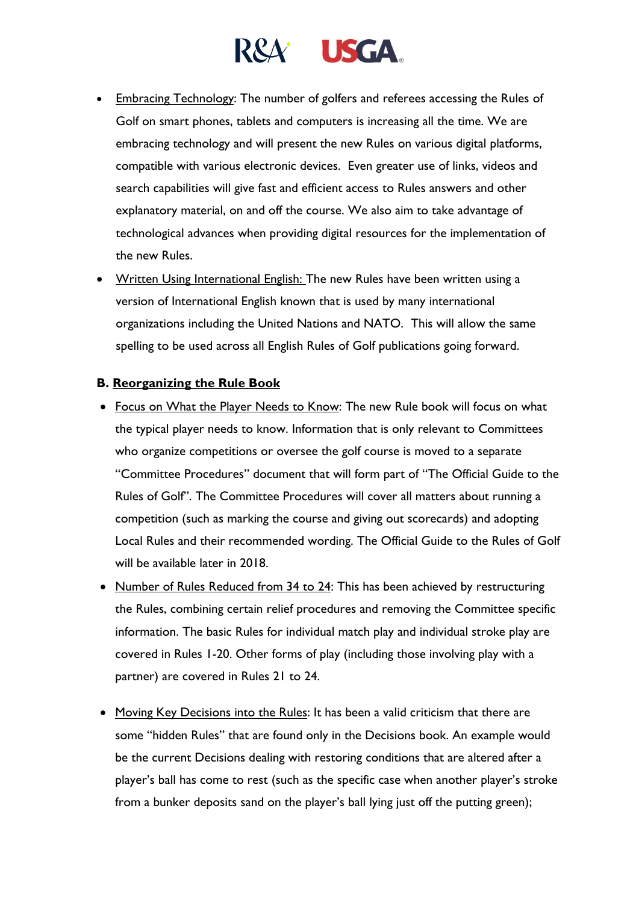# R&A<sup>\*</sup> USGA

- Embracing Technology: The number of golfers and referees accessing the Rules of Golf on smart phones, tablets and computers is increasing all the time. We are embracing technology and will present the new Rules on various digital platforms, compatible with various electronic devices. Even greater use of links, videos and search capabilities will give fast and efficient access to Rules answers and other explanatory material, on and off the course. We also aim to take advantage of technological advances when providing digital resources for the implementation of the new Rules.
- Written Using International English: The new Rules have been written using a version of International English known that is used by many international organizations including the United Nations and NATO. This will allow the same spelling to be used across all English Rules of Golf publications going forward.

### **B. Reorganizing the Rule Book**

- Focus on What the Player Needs to Know: The new Rule book will focus on what the typical player needs to know. Information that is only relevant to Committees who organize competitions or oversee the golf course is moved to a separate "Committee Procedures" document that will form part of "The Official Guide to the Rules of Golf". The Committee Procedures will cover all matters about running a competition (such as marking the course and giving out scorecards) and adopting Local Rules and their recommended wording. The Official Guide to the Rules of Golf will be available later in 2018.
- Number of Rules Reduced from 34 to 24: This has been achieved by restructuring the Rules, combining certain relief procedures and removing the Committee specific information. The basic Rules for individual match play and individual stroke play are covered in Rules 1-20. Other forms of play (including those involving play with a partner) are covered in Rules 21 to 24.
- Moving Key Decisions into the Rules: It has been a valid criticism that there are some "hidden Rules" that are found only in the Decisions book. An example would be the current Decisions dealing with restoring conditions that are altered after a player's ball has come to rest (such as the specific case when another player's stroke from a bunker deposits sand on the player's ball lying just off the putting green);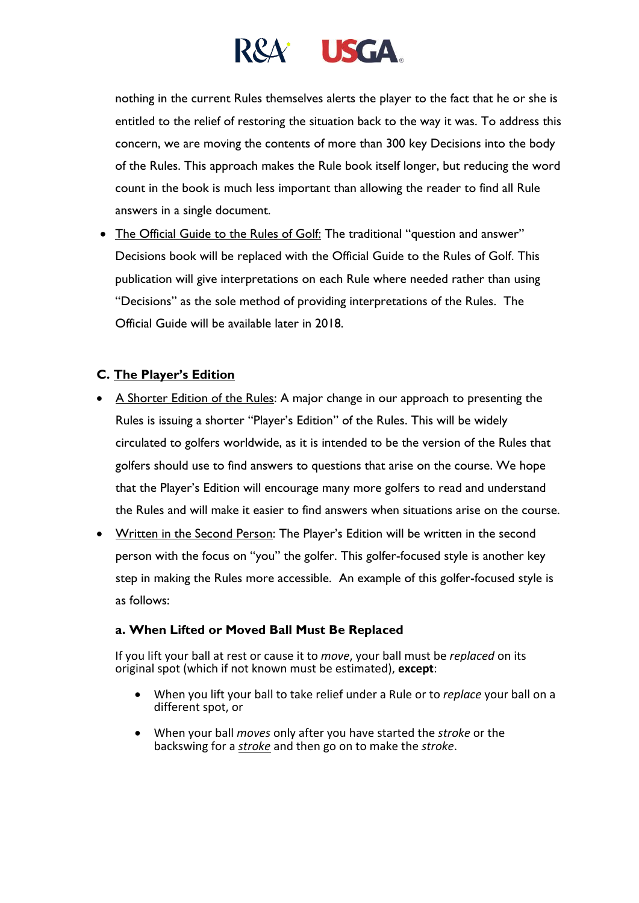

nothing in the current Rules themselves alerts the player to the fact that he or she is entitled to the relief of restoring the situation back to the way it was. To address this concern, we are moving the contents of more than 300 key Decisions into the body of the Rules. This approach makes the Rule book itself longer, but reducing the word count in the book is much less important than allowing the reader to find all Rule answers in a single document.

• The Official Guide to the Rules of Golf: The traditional "question and answer" Decisions book will be replaced with the Official Guide to the Rules of Golf. This publication will give interpretations on each Rule where needed rather than using "Decisions" as the sole method of providing interpretations of the Rules. The Official Guide will be available later in 2018.

## **C. The Player's Edition**

- A Shorter Edition of the Rules: A major change in our approach to presenting the Rules is issuing a shorter "Player's Edition" of the Rules. This will be widely circulated to golfers worldwide, as it is intended to be the version of the Rules that golfers should use to find answers to questions that arise on the course. We hope that the Player's Edition will encourage many more golfers to read and understand the Rules and will make it easier to find answers when situations arise on the course.
- Written in the Second Person: The Player's Edition will be written in the second person with the focus on "you" the golfer. This golfer-focused style is another key step in making the Rules more accessible. An example of this golfer-focused style is as follows:

#### **a. When Lifted or Moved Ball Must Be Replaced**

If you lift your ball at rest or cause it to *move*, your ball must be *replaced* on its original spot (which if not known must be estimated), **except**:

- When you lift your ball to take relief under a Rule or to *replace* your ball on a different spot, or
- When your ball *moves* only after you have started the *stroke* or the backswing for a *[stroke](http://www.usga.org/Rule-Books/Rules-of-Golf/Definitions/#Stroke)* and then go on to make the *stroke*.